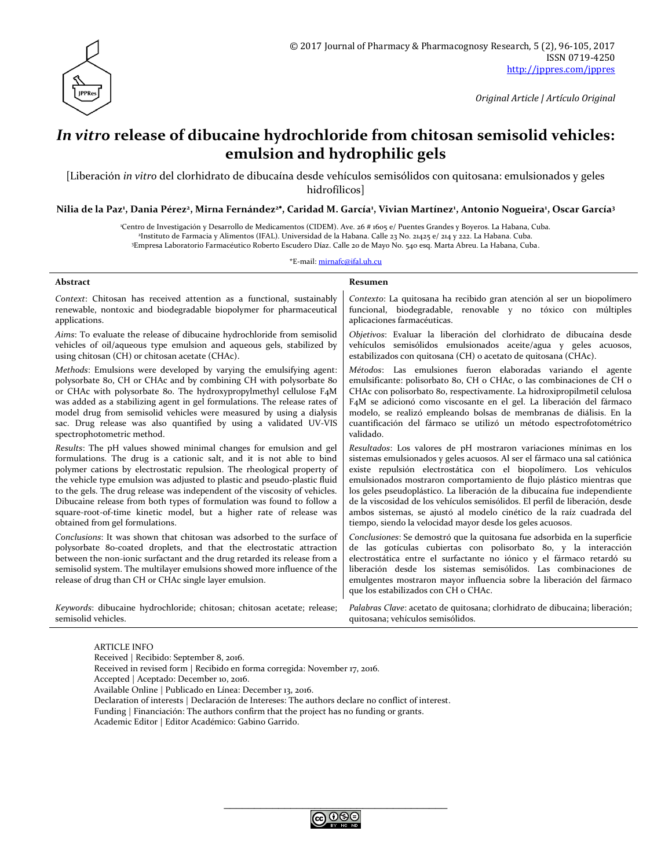

*Original Article | Artículo Original*

# *In vitro* **release of dibucaine hydrochloride from chitosan semisolid vehicles: emulsion and hydrophilic gels**

[Liberación *in vitro* del clorhidrato de dibucaína desde vehículos semisólidos con quitosana: emulsionados y geles hidrofílicos]

**Nilia de la Paz<sup>1</sup> , Dania Pérez<sup>2</sup> , Mirna Fernández<sup>2</sup> , Caridad M. García<sup>1</sup> , Vivian Martínez<sup>1</sup> , Antonio Nogueira<sup>1</sup> , Oscar García<sup>3</sup>**

<sup>1</sup>Centro de Investigación y Desarrollo de Medicamentos (CIDEM). Ave. 26 # 1605 e/ Puentes Grandes y Boyeros. La Habana, Cuba. 2 Instituto de Farmacia y Alimentos (IFAL). Universidad de la Habana. Calle 23 No. 21425 e/ 214 y 222. La Habana. Cuba.

<sup>3</sup>Empresa Laboratorio Farmacéutico Roberto Escudero Díaz. Calle 20 de Mayo No. 540 esq. Marta Abreu. La Habana, Cuba.

\*E-mail: [mirnafc@ifal.uh.cu](mailto:mirnafc@ifal.uh.cu)

| <b>Abstract</b>                                                                                                                                                                                                                                                                                                                                                   | Resumen                                                                                                                                                                                                                                                                                                                                                                                                   |
|-------------------------------------------------------------------------------------------------------------------------------------------------------------------------------------------------------------------------------------------------------------------------------------------------------------------------------------------------------------------|-----------------------------------------------------------------------------------------------------------------------------------------------------------------------------------------------------------------------------------------------------------------------------------------------------------------------------------------------------------------------------------------------------------|
| Context: Chitosan has received attention as a functional, sustainably                                                                                                                                                                                                                                                                                             | Contexto: La quitosana ha recibido gran atención al ser un biopolímero                                                                                                                                                                                                                                                                                                                                    |
| renewable, nontoxic and biodegradable biopolymer for pharmaceutical                                                                                                                                                                                                                                                                                               | funcional, biodegradable, renovable y no tóxico con múltiples                                                                                                                                                                                                                                                                                                                                             |
| applications.                                                                                                                                                                                                                                                                                                                                                     | aplicaciones farmacéuticas.                                                                                                                                                                                                                                                                                                                                                                               |
| Aims: To evaluate the release of dibucaine hydrochloride from semisolid                                                                                                                                                                                                                                                                                           | Objetivos: Evaluar la liberación del clorhidrato de dibucaína desde                                                                                                                                                                                                                                                                                                                                       |
| vehicles of oil/aqueous type emulsion and aqueous gels, stabilized by                                                                                                                                                                                                                                                                                             | vehículos semisólidos emulsionados aceite/agua y geles acuosos,                                                                                                                                                                                                                                                                                                                                           |
| using chitosan (CH) or chitosan acetate (CHAc).                                                                                                                                                                                                                                                                                                                   | estabilizados con quitosana (CH) o acetato de quitosana (CHAc).                                                                                                                                                                                                                                                                                                                                           |
| Methods: Emulsions were developed by varying the emulsifying agent:                                                                                                                                                                                                                                                                                               | Métodos: Las emulsiones fueron elaboradas variando el agente                                                                                                                                                                                                                                                                                                                                              |
| polysorbate 80, CH or CHAc and by combining CH with polysorbate 80                                                                                                                                                                                                                                                                                                | emulsificante: polisorbato 8o, CH o CHAc, o las combinaciones de CH o                                                                                                                                                                                                                                                                                                                                     |
| or CHAc with polysorbate 80. The hydroxypropylmethyl cellulose F4M                                                                                                                                                                                                                                                                                                | CHAc con polisorbato 80, respectivamente. La hidroxipropilmetil celulosa                                                                                                                                                                                                                                                                                                                                  |
| was added as a stabilizing agent in gel formulations. The release rates of                                                                                                                                                                                                                                                                                        | F4M se adicionó como viscosante en el gel. La liberación del fármaco                                                                                                                                                                                                                                                                                                                                      |
| model drug from semisolid vehicles were measured by using a dialysis                                                                                                                                                                                                                                                                                              | modelo, se realizó empleando bolsas de membranas de diálisis. En la                                                                                                                                                                                                                                                                                                                                       |
| sac. Drug release was also quantified by using a validated UV-VIS                                                                                                                                                                                                                                                                                                 | cuantificación del fármaco se utilizó un método espectrofotométrico                                                                                                                                                                                                                                                                                                                                       |
| spectrophotometric method.                                                                                                                                                                                                                                                                                                                                        | validado.                                                                                                                                                                                                                                                                                                                                                                                                 |
| Results: The pH values showed minimal changes for emulsion and gel                                                                                                                                                                                                                                                                                                | Resultados: Los valores de pH mostraron variaciones mínimas en los                                                                                                                                                                                                                                                                                                                                        |
| formulations. The drug is a cationic salt, and it is not able to bind                                                                                                                                                                                                                                                                                             | sistemas emulsionados y geles acuosos. Al ser el fármaco una sal catiónica                                                                                                                                                                                                                                                                                                                                |
| polymer cations by electrostatic repulsion. The rheological property of                                                                                                                                                                                                                                                                                           | existe repulsión electrostática con el biopolímero. Los vehículos                                                                                                                                                                                                                                                                                                                                         |
| the vehicle type emulsion was adjusted to plastic and pseudo-plastic fluid                                                                                                                                                                                                                                                                                        | emulsionados mostraron comportamiento de flujo plástico mientras que                                                                                                                                                                                                                                                                                                                                      |
| to the gels. The drug release was independent of the viscosity of vehicles.                                                                                                                                                                                                                                                                                       | los geles pseudoplástico. La liberación de la dibucaína fue independiente                                                                                                                                                                                                                                                                                                                                 |
| Dibucaine release from both types of formulation was found to follow a                                                                                                                                                                                                                                                                                            | de la viscosidad de los vehículos semisólidos. El perfil de liberación, desde                                                                                                                                                                                                                                                                                                                             |
| square-root-of-time kinetic model, but a higher rate of release was                                                                                                                                                                                                                                                                                               | ambos sistemas, se ajustó al modelo cinético de la raíz cuadrada del                                                                                                                                                                                                                                                                                                                                      |
| obtained from gel formulations.                                                                                                                                                                                                                                                                                                                                   | tiempo, siendo la velocidad mayor desde los geles acuosos.                                                                                                                                                                                                                                                                                                                                                |
| Conclusions: It was shown that chitosan was adsorbed to the surface of<br>polysorbate 80-coated droplets, and that the electrostatic attraction<br>between the non-ionic surfactant and the drug retarded its release from a<br>semisolid system. The multilayer emulsions showed more influence of the<br>release of drug than CH or CHAc single layer emulsion. | Conclusiones: Se demostró que la quitosana fue adsorbida en la superficie<br>de las gotículas cubiertas con polisorbato 80, y la interacción<br>electrostática entre el surfactante no iónico y el fármaco retardó su<br>liberación desde los sistemas semisólidos. Las combinaciones de<br>emulgentes mostraron mayor influencia sobre la liberación del fármaco<br>que los estabilizados con CH o CHAc. |
| Keywords: dibucaine hydrochloride; chitosan; chitosan acetate; release;                                                                                                                                                                                                                                                                                           | Palabras Clave: acetato de quitosana; clorhidrato de dibucaina; liberación;                                                                                                                                                                                                                                                                                                                               |
| semisolid vehicles.                                                                                                                                                                                                                                                                                                                                               | quitosana; vehículos semisólidos.                                                                                                                                                                                                                                                                                                                                                                         |

ARTICLE INFO Received | Recibido: September 8, 2016. Received in revised form | Recibido en forma corregida: November 17, 2016. Accepted | Aceptado: December 10, 2016. Available Online | Publicado en Línea: December 13, 2016. Declaration of interests | Declaración de Intereses: The authors declare no conflict of interest. Funding | Financiación: The authors confirm that the project has no funding or grants. Academic Editor | Editor Académico: Gabino Garrido.

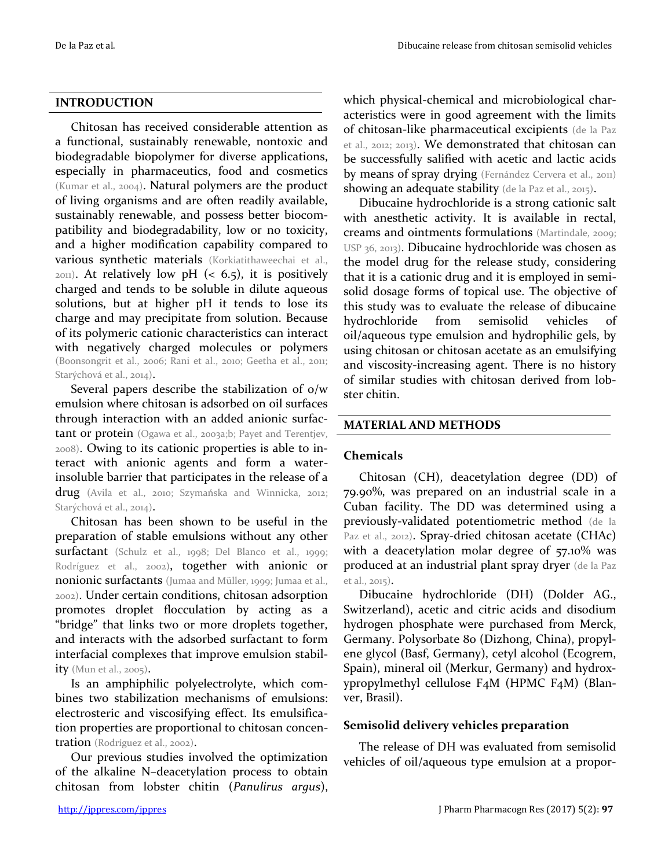### **INTRODUCTION**

Chitosan has received considerable attention as a functional, sustainably renewable, nontoxic and biodegradable biopolymer for diverse applications, especially in pharmaceutics, food and cosmetics (Kumar et al., 2004). Natural polymers are the product of living organisms and are often readily available, sustainably renewable, and possess better biocompatibility and biodegradability, low or no toxicity, and a higher modification capability compared to various synthetic materials (Korkiatithaweechai et al.,  $_{2011}$ ). At relatively low pH (< 6.5), it is positively charged and tends to be soluble in dilute aqueous solutions, but at higher pH it tends to lose its charge and may precipitate from solution. Because of its polymeric cationic characteristics can interact with negatively charged molecules or polymers (Boonsongrit et al., 2006; Rani et al., 2010; Geetha et al., 2011; Starýchová et al., 2014).

Several papers describe the stabilization of o/w emulsion where chitosan is adsorbed on oil surfaces through interaction with an added anionic surfactant or protein (Ogawa et al., 2003a;b; Payet and Terentjev, 2008). Owing to its cationic properties is able to interact with anionic agents and form a waterinsoluble barrier that participates in the release of a drug (Avila et al., 2010; Szymańska and Winnicka, 2012; Starýchová et al., 2014).

Chitosan has been shown to be useful in the preparation of stable emulsions without any other surfactant (Schulz et al., 1998; Del Blanco et al., 1999; Rodríguez et al., 2002), together with anionic or nonionic surfactants (Jumaa and Müller, 1999; Jumaa et al., 2002). Under certain conditions, chitosan adsorption promotes droplet flocculation by acting as a "bridge" that links two or more droplets together, and interacts with the adsorbed surfactant to form interfacial complexes that improve emulsion stability (Mun et al., 2005).

Is an amphiphilic polyelectrolyte, which combines two stabilization mechanisms of emulsions: electrosteric and viscosifying effect. Its emulsification properties are proportional to chitosan concentration (Rodríguez et al., 2002).

Our previous studies involved the optimization of the alkaline N–deacetylation process to obtain chitosan from lobster chitin (*Panulirus argus*),

which physical-chemical and microbiological characteristics were in good agreement with the limits of chitosan-like pharmaceutical excipients (de la Paz et al., 2012; 2013). We demonstrated that chitosan can be successfully salified with acetic and lactic acids by means of spray drying (Fernández Cervera et al., 2011) showing an adequate stability (de la Paz et al., 2015).

Dibucaine hydrochloride is a strong cationic salt with anesthetic activity. It is available in rectal, creams and ointments formulations (Martindale, 2009; USP 36, 2013). Dibucaine hydrochloride was chosen as the model drug for the release study, considering that it is a cationic drug and it is employed in semisolid dosage forms of topical use. The objective of this study was to evaluate the release of dibucaine hydrochloride from semisolid vehicles of oil/aqueous type emulsion and hydrophilic gels, by using chitosan or chitosan acetate as an emulsifying and viscosity-increasing agent. There is no history of similar studies with chitosan derived from lobster chitin.

### **MATERIAL AND METHODS**

### **Chemicals**

Chitosan (CH), deacetylation degree (DD) of 79.90%, was prepared on an industrial scale in a Cuban facility. The DD was determined using a previously-validated potentiometric method (de la Paz et al., 2012). Spray-dried chitosan acetate (CHAc) with a deacetylation molar degree of 57.10% was produced at an industrial plant spray dryer (de la Paz et al., 2015).

Dibucaine hydrochloride (DH) (Dolder AG., Switzerland), acetic and citric acids and disodium hydrogen phosphate were purchased from Merck, Germany. Polysorbate 80 (Dizhong, China), propylene glycol (Basf, Germany), cetyl alcohol (Ecogrem, Spain), mineral oil (Merkur, Germany) and hydroxypropylmethyl cellulose F4M (HPMC F4M) (Blanver, Brasil).

### **Semisolid delivery vehicles preparation**

The release of DH was evaluated from semisolid vehicles of oil/aqueous type emulsion at a propor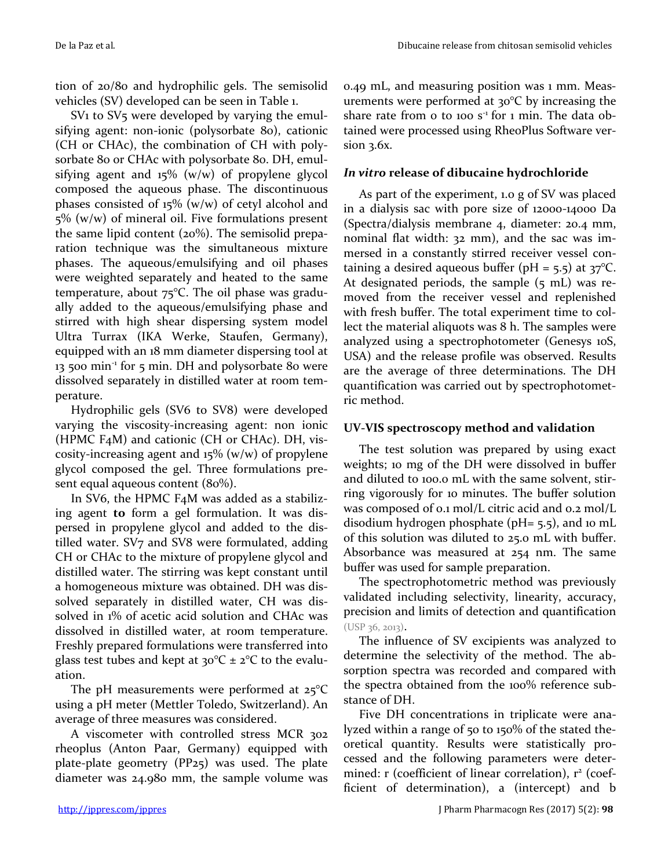tion of 20/80 and hydrophilic gels. The semisolid vehicles (SV) developed can be seen in Table 1.

SV<sub>1</sub> to SV<sub>5</sub> were developed by varying the emulsifying agent: non-ionic (polysorbate 80), cationic (CH or CHAc), the combination of CH with polysorbate 80 or CHAc with polysorbate 80. DH, emulsifying agent and 15% (w/w) of propylene glycol composed the aqueous phase. The discontinuous phases consisted of  $15\%$  (w/w) of cetyl alcohol and 5% (w/w) of mineral oil. Five formulations present the same lipid content  $(20\%)$ . The semisolid preparation technique was the simultaneous mixture phases. The aqueous/emulsifying and oil phases were weighted separately and heated to the same temperature, about 75°C. The oil phase was gradually added to the aqueous/emulsifying phase and stirred with high shear dispersing system model Ultra Turrax (IKA Werke, Staufen, Germany), equipped with an 18 mm diameter dispersing tool at 13 500 min-1 for 5 min. DH and polysorbate 80 were dissolved separately in distilled water at room temperature.

Hydrophilic gels (SV6 to SV8) were developed varying the viscosity-increasing agent: non ionic (HPMC F4M) and cationic (CH or CHAc). DH, viscosity-increasing agent and  $15\%$  (w/w) of propylene glycol composed the gel. Three formulations present equal aqueous content (80%).

In SV6, the HPMC F4M was added as a stabilizing agent **to** form a gel formulation. It was dispersed in propylene glycol and added to the distilled water. SV7 and SV8 were formulated, adding CH or CHAc to the mixture of propylene glycol and distilled water. The stirring was kept constant until a homogeneous mixture was obtained. DH was dissolved separately in distilled water, CH was dissolved in 1% of acetic acid solution and CHAc was dissolved in distilled water, at room temperature. Freshly prepared formulations were transferred into glass test tubes and kept at  $30^{\circ}C \pm 2^{\circ}C$  to the evaluation.

The pH measurements were performed at  $25^{\circ}$ C using a pH meter (Mettler Toledo, Switzerland). An average of three measures was considered.

A viscometer with controlled stress MCR 302 rheoplus (Anton Paar, Germany) equipped with plate-plate geometry (PP25) was used. The plate diameter was 24.980 mm, the sample volume was

0.49 mL, and measuring position was 1 mm. Measurements were performed at 30°C by increasing the share rate from  $\sigma$  to 100 s<sup>-1</sup> for 1 min. The data obtained were processed using RheoPlus Software version 3.6x.

### *In vitro* **release of dibucaine hydrochloride**

As part of the experiment, 1.0 g of SV was placed in a dialysis sac with pore size of 12000-14000 Da (Spectra/dialysis membrane 4, diameter: 20.4 mm, nominal flat width: 32 mm), and the sac was immersed in a constantly stirred receiver vessel containing a desired aqueous buffer (pH =  $5.5$ ) at  $37^{\circ}$ C. At designated periods, the sample (5 mL) was removed from the receiver vessel and replenished with fresh buffer. The total experiment time to collect the material aliquots was 8 h. The samples were analyzed using a spectrophotometer (Genesys 10S, USA) and the release profile was observed. Results are the average of three determinations. The DH quantification was carried out by spectrophotometric method.

## **UV-VIS spectroscopy method and validation**

The test solution was prepared by using exact weights; 10 mg of the DH were dissolved in buffer and diluted to 100.0 mL with the same solvent, stirring vigorously for 10 minutes. The buffer solution was composed of 0.1 mol/L citric acid and 0.2 mol/L disodium hydrogen phosphate (pH= 5.5), and 10 mL of this solution was diluted to 25.0 mL with buffer. Absorbance was measured at 254 nm. The same buffer was used for sample preparation.

The spectrophotometric method was previously validated including selectivity, linearity, accuracy, precision and limits of detection and quantification (USP 36, 2013).

The influence of SV excipients was analyzed to determine the selectivity of the method. The absorption spectra was recorded and compared with the spectra obtained from the 100% reference substance of DH.

Five DH concentrations in triplicate were analyzed within a range of 50 to 150% of the stated theoretical quantity. Results were statistically processed and the following parameters were determined: r (coefficient of linear correlation), r<sup>2</sup> (coefficient of determination), a (intercept) and b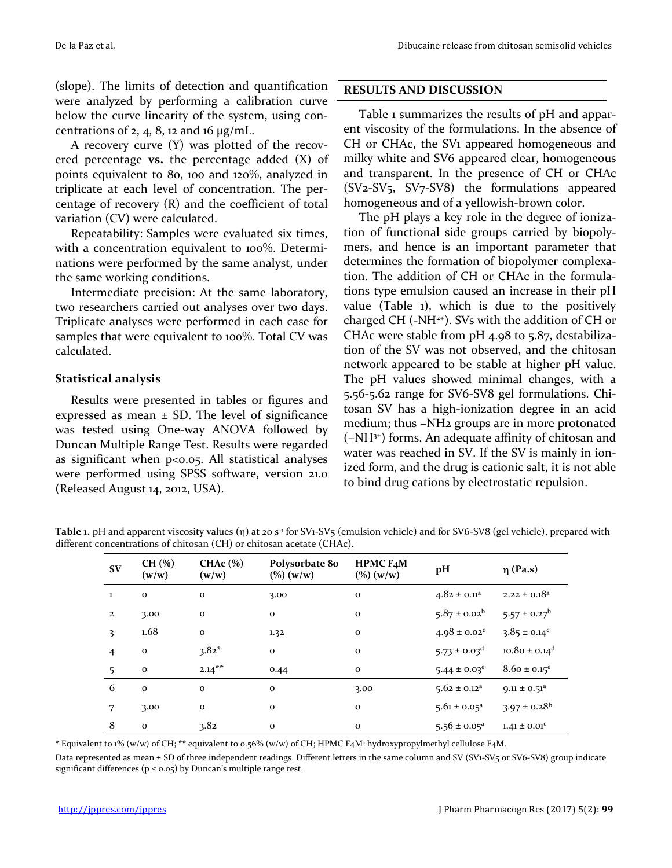(slope). The limits of detection and quantification were analyzed by performing a calibration curve below the curve linearity of the system, using concentrations of  $2$ ,  $4$ ,  $8$ ,  $12$  and  $16 \mu g/mL$ .

A recovery curve (Y) was plotted of the recovered percentage **vs.** the percentage added (X) of points equivalent to 80, 100 and 120%, analyzed in triplicate at each level of concentration. The percentage of recovery (R) and the coefficient of total variation (CV) were calculated.

Repeatability: Samples were evaluated six times, with a concentration equivalent to 100%. Determinations were performed by the same analyst, under the same working conditions.

Intermediate precision: At the same laboratory, two researchers carried out analyses over two days. Triplicate analyses were performed in each case for samples that were equivalent to 100%. Total CV was calculated.

### **Statistical analysis**

Results were presented in tables or figures and expressed as mean  $\pm$  SD. The level of significance was tested using One-way ANOVA followed by Duncan Multiple Range Test. Results were regarded as significant when  $p<sub>0.05</sub>$ . All statistical analyses were performed using SPSS software, version 21.0 (Released August 14, 2012, USA).

### **RESULTS AND DISCUSSION**

Table 1 summarizes the results of pH and apparent viscosity of the formulations. In the absence of CH or CHAc, the SV1 appeared homogeneous and milky white and SV6 appeared clear, homogeneous and transparent. In the presence of CH or CHAc (SV2-SV5, SV7-SV8) the formulations appeared homogeneous and of a yellowish-brown color.

The pH plays a key role in the degree of ionization of functional side groups carried by biopolymers, and hence is an important parameter that determines the formation of biopolymer complexation. The addition of CH or CHAc in the formulations type emulsion caused an increase in their pH value (Table 1), which is due to the positively charged CH  $(-NH<sup>2+</sup>)$ . SVs with the addition of CH or CHAc were stable from  $pH$  4.98 to 5.87, destabilization of the SV was not observed, and the chitosan network appeared to be stable at higher pH value. The pH values showed minimal changes, with a 5.56-5.62 range for SV6-SV8 gel formulations. Chitosan SV has a high-ionization degree in an acid medium; thus −NH2 groups are in more protonated (−NH3+) forms. An adequate affinity of chitosan and water was reached in SV. If the SV is mainly in ionized form, and the drug is cationic salt, it is not able to bind drug cations by electrostatic repulsion.

Table 1. pH and apparent viscosity values ( $\eta$ ) at 20 s<sup>-1</sup> for SV1-SV5 (emulsion vehicle) and for SV6-SV8 (gel vehicle), prepared with different concentrations of chitosan (CH) or chitosan acetate (CHAc).

| <b>SV</b>      | $CH(\% )$<br>(w/w) | CHA $c$ (%)<br>(w/w) | Polysorbate 80<br>$(\%) (w/w)$ | HPMC F4M<br>$(\%) (w/w)$ | pH                           | $\eta$ (Pa.s)                 |
|----------------|--------------------|----------------------|--------------------------------|--------------------------|------------------------------|-------------------------------|
| $\mathbf{1}$   | $\mathbf 0$        | $\mathbf{o}$         | 3.00                           | $\mathbf{o}$             | $4.82 \pm 0.11$ <sup>a</sup> | $2.22 \pm 0.18^a$             |
| $\mathbf{2}$   | 3.00               | $\mathbf{o}$         | $\mathbf{o}$                   | $\mathbf{o}$             | $5.87 \pm 0.02^b$            | $5.57 \pm 0.27^b$             |
| 3              | 1.68               | $\mathbf{o}$         | 1.32                           | $\mathbf{o}$             | $4.98 \pm 0.02$ <sup>c</sup> | $3.85 \pm 0.14^c$             |
| $\overline{4}$ | $\mathbf 0$        | $3.82*$              | $\mathbf{o}$                   | $\mathbf{o}$             | $5.73 \pm 0.03$ <sup>d</sup> | $10.80 \pm 0.14$ <sup>d</sup> |
| 5              | $\mathbf{o}$       | $2.14***$            | 0.44                           | $\mathbf{o}$             | $5.44 \pm 0.03^e$            | $8.60 \pm 0.15^e$             |
| 6              | $\mathbf{o}$       | $\mathbf{o}$         | $\mathbf{o}$                   | 3.00                     | $5.62 \pm 0.12$ <sup>a</sup> | $9.11 \pm 0.51^a$             |
| 7              | 3.00               | $\mathbf{o}$         | $\mathbf{o}$                   | $\mathbf{o}$             | $5.61 \pm 0.05^a$            | $3.97 \pm 0.28$ <sup>b</sup>  |
| 8              | $\mathbf{o}$       | 3.82                 | $\mathbf{o}$                   | $\mathbf{o}$             | $5.56 \pm 0.05^a$            | $1.41 \pm 0.01^{\circ}$       |

\* Equivalent to 1% (w/w) of CH; \*\* equivalent to 0.56% (w/w) of CH; HPMC F4M: hydroxypropylmethyl cellulose F4M.

Data represented as mean ± SD of three independent readings. Different letters in the same column and SV (SV1-SV5 or SV6-SV8) group indicate significant differences ( $p \le 0.05$ ) by Duncan's multiple range test.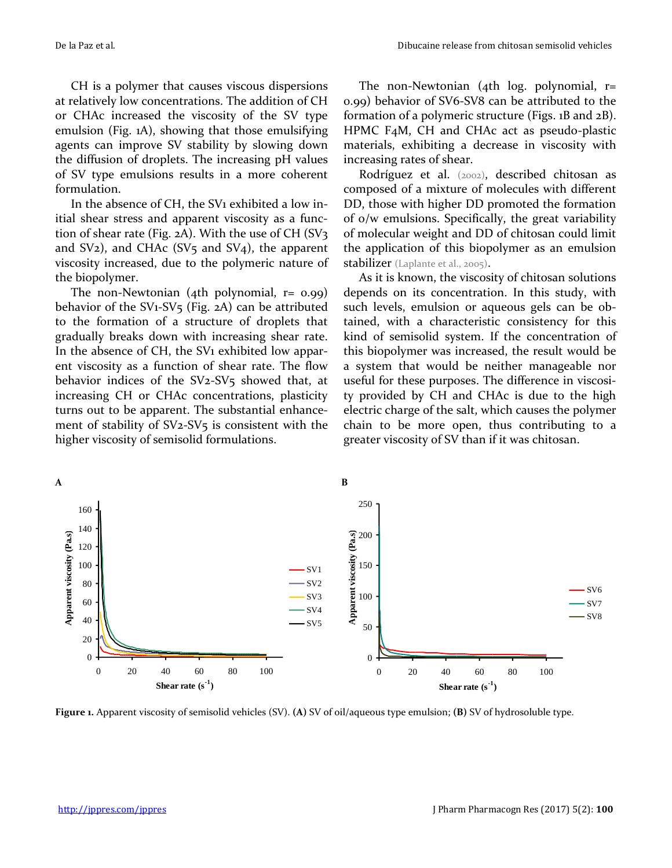CH is a polymer that causes viscous dispersions at relatively low concentrations. The addition of CH or CHAc increased the viscosity of the SV type emulsion (Fig. 1A), showing that those emulsifying agents can improve SV stability by slowing down the diffusion of droplets. The increasing pH values of SV type emulsions results in a more coherent formulation.

In the absence of CH, the SV1 exhibited a low initial shear stress and apparent viscosity as a function of shear rate (Fig.  $2A$ ). With the use of CH (SV $3$ ) and  $SV_2$ ), and CHAc  $(SV_5$  and  $SV_4$ ), the apparent viscosity increased, due to the polymeric nature of the biopolymer.

The non-Newtonian (4th polynomial,  $r = 0.99$ ) behavior of the SV1-SV<sub>5</sub> (Fig. 2A) can be attributed to the formation of a structure of droplets that gradually breaks down with increasing shear rate. In the absence of CH, the SV1 exhibited low apparent viscosity as a function of shear rate. The flow behavior indices of the SV<sub>2</sub>-SV<sub>5</sub> showed that, at increasing CH or CHAc concentrations, plasticity turns out to be apparent. The substantial enhancement of stability of  $SV_2-SV_5$  is consistent with the higher viscosity of semisolid formulations.

The non-Newtonian (4th log. polynomial, r= 0.99) behavior of SV6-SV8 can be attributed to the formation of a polymeric structure (Figs. 1B and 2B). HPMC F4M, CH and CHAc act as pseudo-plastic materials, exhibiting a decrease in viscosity with increasing rates of shear.

Rodríguez et al. (2002), described chitosan as composed of a mixture of molecules with different DD, those with higher DD promoted the formation of o/w emulsions. Specifically, the great variability of molecular weight and DD of chitosan could limit the application of this biopolymer as an emulsion stabilizer (Laplante et al., 2005).

As it is known, the viscosity of chitosan solutions depends on its concentration. In this study, with such levels, emulsion or aqueous gels can be obtained, with a characteristic consistency for this kind of semisolid system. If the concentration of this biopolymer was increased, the result would be a system that would be neither manageable nor useful for these purposes. The difference in viscosity provided by CH and CHAc is due to the high electric charge of the salt, which causes the polymer chain to be more open, thus contributing to a greater viscosity of SV than if it was chitosan.



**Figure 1.** Apparent viscosity of semisolid vehicles (SV). **(A)** SV of oil/aqueous type emulsion; **(B)** SV of hydrosoluble type.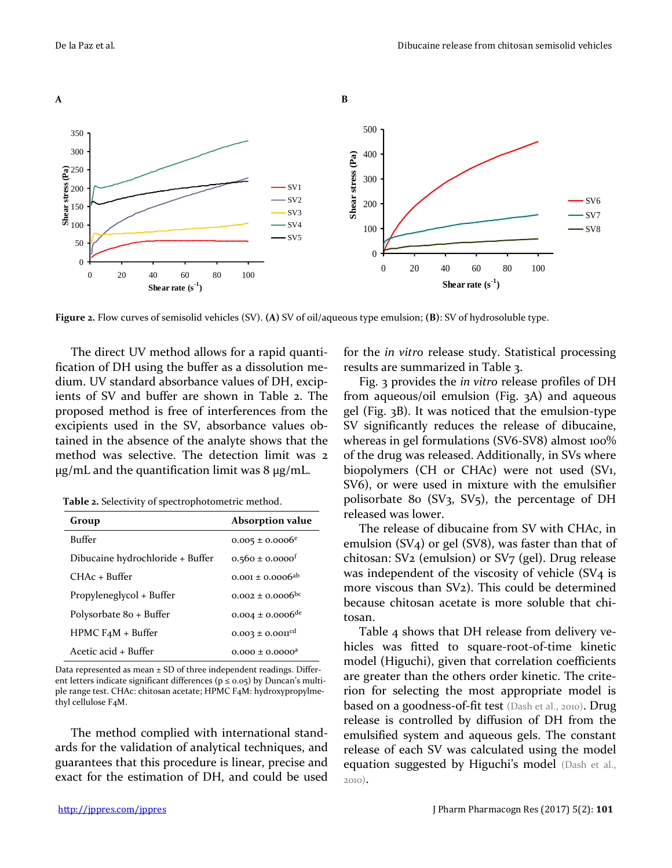

**Figure 2.** Flow curves of semisolid vehicles (SV). **(A)** SV of oil/aqueous type emulsion; **(B)**: SV of hydrosoluble type.

The direct UV method allows for a rapid quantification of DH using the buffer as a dissolution medium. UV standard absorbance values of DH, excipients of SV and buffer are shown in Table [2.](file:///C:/Users/Mirna/AppData/Local/Microsoft/Mirna/AppData/Local/Microsoft/Particion%20D/Mirna/Nilia/AppData/Documents%20and%20Settings/sala1/Configuración%20local/Mirna/AppData/Local/Microsoft/Windows/Temporary%20Internet%20Files/Content.Outlook/adonisba/Mis%20documentos/art4.php#fig2) The proposed method is free of interferences from the excipients used in the SV, absorbance values obtained in the absence of the analyte shows that the method was selective. The detection limit was 2  $\mu$ g/mL and the quantification limit was 8  $\mu$ g/mL.

**Table 2.** Selectivity of spectrophotometric method.

| Group                            | <b>Absorption value</b>          |
|----------------------------------|----------------------------------|
| <b>Buffer</b>                    | $0.005 \pm 0.0006$ <sup>e</sup>  |
| Dibucaine hydrochloride + Buffer | $0.560 \pm 0.0000$ <sup>f</sup>  |
| $CHAc + Buffer$                  | $0.001 \pm 0.0006^{ab}$          |
| Propyleneglycol + Buffer         | $0.002 \pm 0.0006$ <sup>bc</sup> |
| Polysorbate 80 + Buffer          | $0.004 \pm 0.0006$ <sup>de</sup> |
| $HPMC$ F <sub>4</sub> M + Buffer | $0.003 \pm 0.001$ <sup>cd</sup>  |
| Acetic acid + Buffer             | $0.000 \pm 0.0000$ <sup>a</sup>  |

Data represented as mean  $\pm$  SD of three independent readings. Different letters indicate significant differences ( $p \le 0.05$ ) by Duncan's multiple range test. CHAc: chitosan acetate; HPMC F4M: hydroxypropylmethyl cellulose F4M.

The method complied with international standards for the validation of analytical techniques, and guarantees that this procedure is linear, precise and exact for the estimation of DH, and could be used for the *in vitro* release study. Statistical processing results are summarized in Table 3.

Fig. 3 provides the *in vitro* release profiles of DH from aqueous/oil emulsion (Fig. 3A) and aqueous gel (Fig. 3B). It was noticed that the emulsion-type SV significantly reduces the release of dibucaine, whereas in gel formulations (SV6-SV8) almost 100% of the drug was released. Additionally, in SVs where biopolymers (CH or CHAc) were not used (SV1, SV6), or were used in mixture with the emulsifier polisorbate 80 (SV<sub>3</sub>, SV<sub>5</sub>), the percentage of DH released was lower.

The release of dibucaine from SV with CHAc, in emulsion (SV4) or gel (SV8), was faster than that of chitosan: SV2 (emulsion) or SV7 (gel). Drug release was independent of the viscosity of vehicle (SV<sub>4</sub> is more viscous than SV2). This could be determined because chitosan acetate is more soluble that chitosan.

Table 4 shows that DH release from delivery vehicles was fitted to square-root-of-time kinetic model (Higuchi), given that correlation coefficients are greater than the others order kinetic. The criterion for selecting the most appropriate model is based on a goodness-of-fit test (Dash et al., 2010). Drug release is controlled by diffusion of DH from the emulsified system and aqueous gels. The constant release of each SV was calculated using the model equation suggested by Higuchi's model (Dash et al., 2010).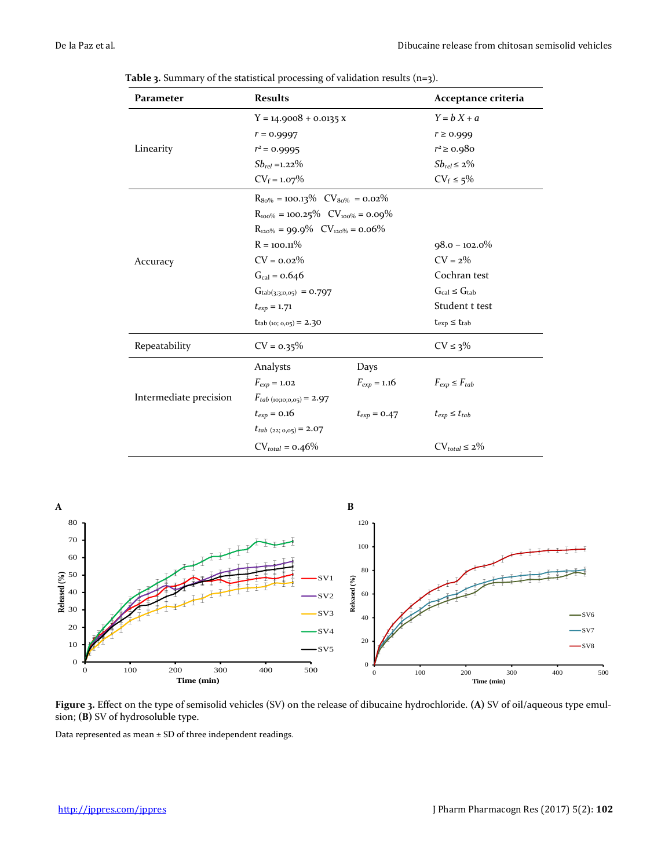| Parameter              | <b>Results</b>                               |                                      | Acceptance criteria    |  |  |
|------------------------|----------------------------------------------|--------------------------------------|------------------------|--|--|
|                        | $Y = 14.9008 + 0.0135 X$                     | $Y = bX + a$                         |                        |  |  |
|                        | $r = 0.9997$                                 | $r \geq 0.999$                       |                        |  |  |
| Linearity              | $r^2$ = 0.9995                               |                                      | $r^2 \ge 0.980$        |  |  |
|                        | $Sb_{rel} = 1.22\%$                          | $Sb_{rel} \leq 2\%$                  |                        |  |  |
|                        | $CV_f = 1.07\%$                              | $CV_f \leq 5\%$                      |                        |  |  |
|                        | $R_{80\%} = 100.13\%$ $CV_{80\%} = 0.02\%$   |                                      |                        |  |  |
|                        | $R_{100\%} = 100.25\%$ $CV_{100\%} = 0.09\%$ |                                      |                        |  |  |
|                        | $R_{120\%} = 99.9\%$ $CV_{120\%} = 0.06\%$   |                                      |                        |  |  |
|                        | $R = 100.11\%$                               | $98.0 - 102.0\%$                     |                        |  |  |
| Accuracy               | $CV = 0.02\%$                                | $CV = 2\%$                           |                        |  |  |
|                        | $G_{\text{cal}} = 0.646$                     | Cochran test                         |                        |  |  |
|                        | $Gtab(3,3,0,05) = 0.797$                     | $G_{\text{cal}} \leq G_{\text{tab}}$ |                        |  |  |
|                        | $t_{exp} = 1.71$                             | Student t test                       |                        |  |  |
|                        | $t_{tab (10; 0,05)} = 2.30$                  | $t_{exp} \leq t_{tab}$               |                        |  |  |
| Repeatability          | $CV = 0.35\%$                                |                                      | $CV \leq 3\%$          |  |  |
|                        | Analysts                                     | Days                                 |                        |  |  |
|                        | $F_{exp} = 1.02$<br>$F_{exp} = 1.16$         |                                      | $F_{exp} \leq F_{tab}$ |  |  |
| Intermediate precision | $F_{tab (10;10;0,05)} = 2.97$                |                                      |                        |  |  |
|                        | $t_{exp} = 0.16$<br>$t_{exp} = 0.47$         |                                      | $t_{exp} \leq t_{tab}$ |  |  |
|                        | $t_{tab (22; 0,05)} = 2.07$                  |                                      |                        |  |  |
|                        | $CV_{total} = 0.46\%$                        | $CV_{total} \leq 2\%$                |                        |  |  |

**Table 3.** Summary of the statistical processing of validation results (n=3).



**Figure 3.** Effect on the type of semisolid vehicles (SV) on the release of dibucaine hydrochloride. **(A)** SV of oil/aqueous type emulsion; **(B)** SV of hydrosoluble type.

Data represented as mean ± SD of three independent readings.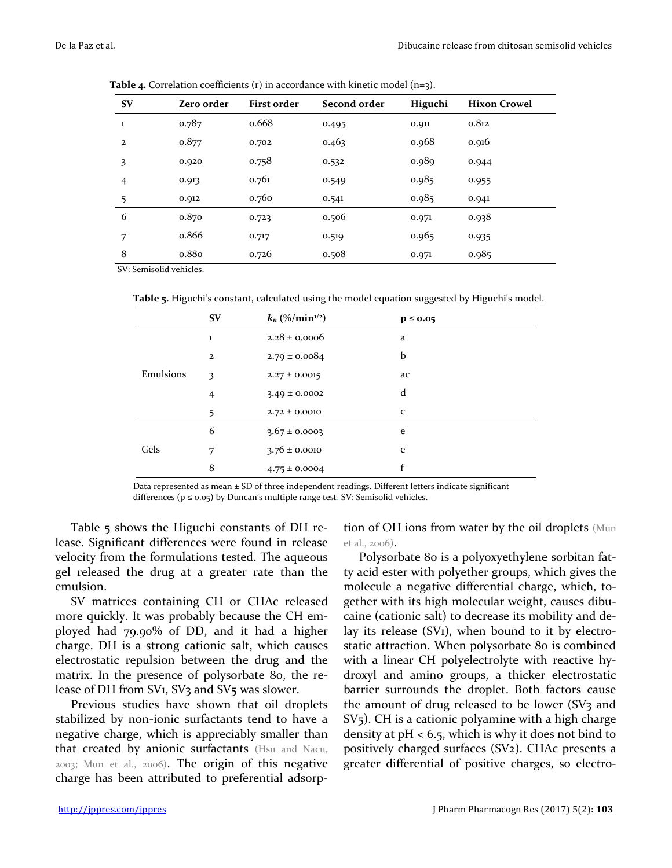| <b>SV</b>      | <b>Zero order</b>                              | <b>First order</b> | Second order | Higuchi | <b>Hixon Crowel</b> |
|----------------|------------------------------------------------|--------------------|--------------|---------|---------------------|
| $\bf{1}$       | 0.787                                          | 0.668              | 0.495        | 0.911   | 0.812               |
| $\mathbf{2}$   | 0.877                                          | 0.702              | 0.463        | 0.968   | 0.916               |
| 3              | 0.920                                          | 0.758              | 0.532        | 0.989   | 0.944               |
| $\overline{4}$ | 0.913                                          | 0.761              | 0.549        | 0.985   | 0.955               |
| 5              | 0.912                                          | 0.760              | 0.541        | 0.985   | 0.941               |
| 6              | 0.870                                          | 0.723              | 0.506        | 0.971   | 0.938               |
| 7              | 0.866                                          | 0.717              | 0.519        | 0.965   | 0.935               |
| 8              | 0.880                                          | 0.726              | 0.508        | 0.971   | 0.985               |
| $\alpha$       | $1 \cdot 1$<br>$\cdot$ $\cdot$ $\cdot$ $\cdot$ |                    |              |         |                     |

Table 4. Correlation coefficients (r) in accordance with kinetic model (n=3).

SV: Semisolid vehicles.

**Table 5.** Higuchi's constant, calculated using the model equation suggested by Higuchi's model.

|           | <b>SV</b>      | $k_n$ (%/min <sup>1/2</sup> ) | $p \le 0.05$ |
|-----------|----------------|-------------------------------|--------------|
| Emulsions | 1              | $2.28 \pm 0.0006$             | a            |
|           | $\mathbf{2}$   | $2.79 \pm 0.0084$             | b            |
|           | 3              | $2.27 \pm 0.0015$             | ac           |
|           | $\overline{4}$ | $3.49 \pm 0.0002$             | d            |
|           | 5              | $2.72 \pm 0.0010$             | $\mathbf C$  |
| Gels      | 6              | $3.67 \pm 0.0003$             | e            |
|           | 7              | $3.76 \pm 0.0010$             | e            |
|           | 8              | $4.75 \pm 0.0004$             | f            |

Data represented as mean  $\pm$  SD of three independent readings. Different letters indicate significant differences ( $p \le 0.05$ ) by Duncan's multiple range test. SV: Semisolid vehicles.

Table 5 shows the Higuchi constants of DH release. Significant differences were found in release velocity from the formulations tested. The aqueous gel released the drug at a greater rate than the emulsion.

SV matrices containing CH or CHAc released more quickly. It was probably because the CH employed had 79.90% of DD, and it had a higher charge. DH is a strong cationic salt, which causes electrostatic repulsion between the drug and the matrix. In the presence of polysorbate 80, the release of DH from SV<sub>1</sub>, SV<sub>3</sub> and SV<sub>5</sub> was slower.

Previous studies have shown that oil droplets stabilized by non-ionic surfactants tend to have a negative charge, which is appreciably smaller than that created by anionic surfactants (Hsu and Nacu, 2003; Mun et al., 2006). The origin of this negative charge has been attributed to preferential adsorption of OH ions from water by the oil droplets (Mun et al., 2006).

Polysorbate 80 is a polyoxyethylene sorbitan fatty acid ester with polyether groups, which gives the molecule a negative differential charge, which, together with its high molecular weight, causes dibucaine (cationic salt) to decrease its mobility and delay its release (SV1), when bound to it by electrostatic attraction. When polysorbate 80 is combined with a linear CH polyelectrolyte with reactive hydroxyl and amino groups, a thicker electrostatic barrier surrounds the droplet. Both factors cause the amount of drug released to be lower ( $SV<sub>3</sub>$  and SV5). CH is a cationic polyamine with a high charge density at  $pH < 6.5$ , which is why it does not bind to positively charged surfaces (SV2). CHAc presents a greater differential of positive charges, so electro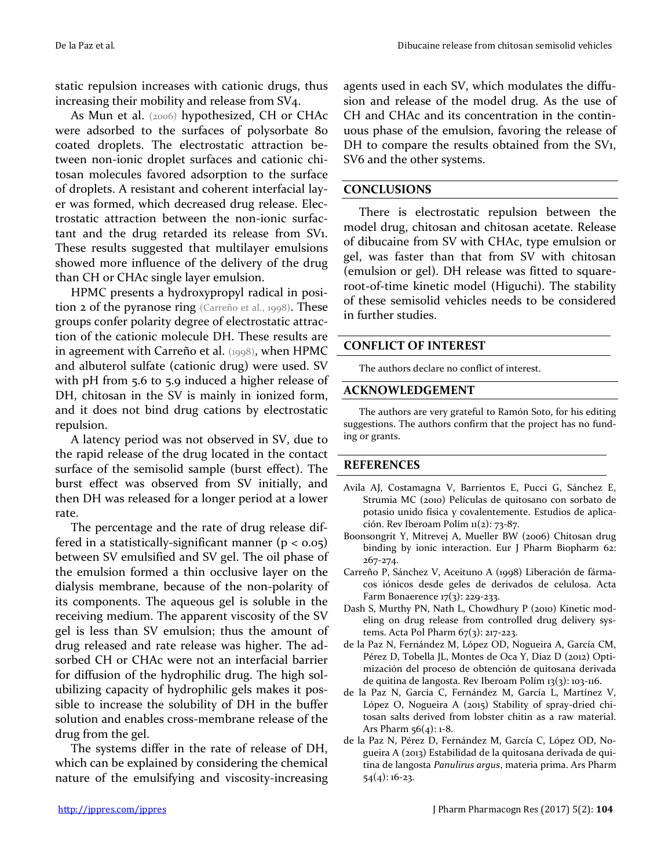static repulsion increases with cationic drugs, thus increasing their mobility and release from SV4.

As Mun et al. (2006) hypothesized, CH or CHAc were adsorbed to the surfaces of polysorbate 80 coated droplets. The electrostatic attraction between non-ionic droplet surfaces and cationic chitosan molecules favored adsorption to the surface of droplets. A resistant and coherent interfacial layer was formed, which decreased drug release. Electrostatic attraction between the non-ionic surfactant and the drug retarded its release from SV1. These results suggested that multilayer emulsions showed more influence of the delivery of the drug than CH or CHAc single layer emulsion.

HPMC presents a hydroxypropyl radical in position 2 of the pyranose ring (Carreño et al., 1998). These groups confer polarity degree of electrostatic attraction of the cationic molecule DH. These results are in agreement with Carreño et al. (1998), when HPMC and albuterol sulfate (cationic drug) were used. SV with pH from 5.6 to 5.9 induced a higher release of DH, chitosan in the SV is mainly in ionized form, and it does not bind drug cations by electrostatic repulsion.

A latency period was not observed in SV, due to the rapid release of the drug located in the contact surface of the semisolid sample (burst effect). The burst effect was observed from SV initially, and then DH was released for a longer period at a lower rate.

The percentage and the rate of drug release differed in a statistically-significant manner  $(p < 0.05)$ between SV emulsified and SV gel. The oil phase of the emulsion formed a thin occlusive layer on the dialysis membrane, because of the non-polarity of its components. The aqueous gel is soluble in the receiving medium. The apparent viscosity of the SV gel is less than SV emulsion; thus the amount of drug released and rate release was higher. The adsorbed CH or CHAc were not an interfacial barrier for diffusion of the hydrophilic drug. The high solubilizing capacity of hydrophilic gels makes it possible to increase the solubility of DH in the buffer solution and enables cross-membrane release of the drug from the gel.

The systems differ in the rate of release of DH, which can be explained by considering the chemical nature of the emulsifying and viscosity-increasing agents used in each SV, which modulates the diffusion and release of the model drug. As the use of CH and CHAc and its concentration in the continuous phase of the emulsion, favoring the release of DH to compare the results obtained from the SV<sub>1</sub>, SV6 and the other systems.

#### **CONCLUSIONS**

There is electrostatic repulsion between the model drug, chitosan and chitosan acetate. Release of dibucaine from SV with CHAc, type emulsion or gel, was faster than that from SV with chitosan (emulsion or gel). DH release was fitted to squareroot-of-time kinetic model (Higuchi). The stability of these semisolid vehicles needs to be considered in further studies.

### **CONFLICT OF INTEREST**

The authors declare no conflict of interest.

#### **ACKNOWLEDGEMENT**

The authors are very grateful to Ramón Soto, for his editing suggestions. The authors confirm that the project has no funding or grants.

#### **REFERENCES**

- Avila AJ, Costamagna V, Barrientos E, Pucci G, Sánchez E, Strumia MC (2010) Películas de quitosano con sorbato de potasio unido física y covalentemente. Estudios de aplicación. Rev Iberoam Polím 11(2): 73-87.
- Boonsongrit Y, Mitrevej A, Mueller BW (2006) Chitosan drug binding by ionic interaction. Eur J Pharm Biopharm 62: 267-274.
- Carreño P, Sánchez V, Aceituno A (1998) Liberación de fármacos iónicos desde geles de derivados de celulosa. Acta Farm Bonaerence 17(3): 229-233.
- Dash S, Murthy PN, Nath L, Chowdhury P (2010) Kinetic modeling on drug release from controlled drug delivery systems. Acta Pol Pharm 67(3): 217-223.
- de la Paz N, Fernández M, López OD, Nogueira A, García CM, Pérez D, Tobella JL, Montes de Oca Y, Díaz D (2012) Optimización del proceso de obtención de quitosana derivada de quitina de langosta. Rev Iberoam Polím 13(3): 103-116.
- de la Paz N, García C, Fernández M, García L, Martínez V, López O, Nogueira A (2015) Stability of spray-dried chitosan salts derived from lobster chitin as a raw material. Ars Pharm  $56(4)$ : 1-8.
- de la Paz N, Pérez D, Fernández M, García C, López OD, Nogueira A (2013) Estabilidad de la quitosana derivada de quitina de langosta *Panulirus argus*, materia prima. Ars Pharm 54(4): 16-23.